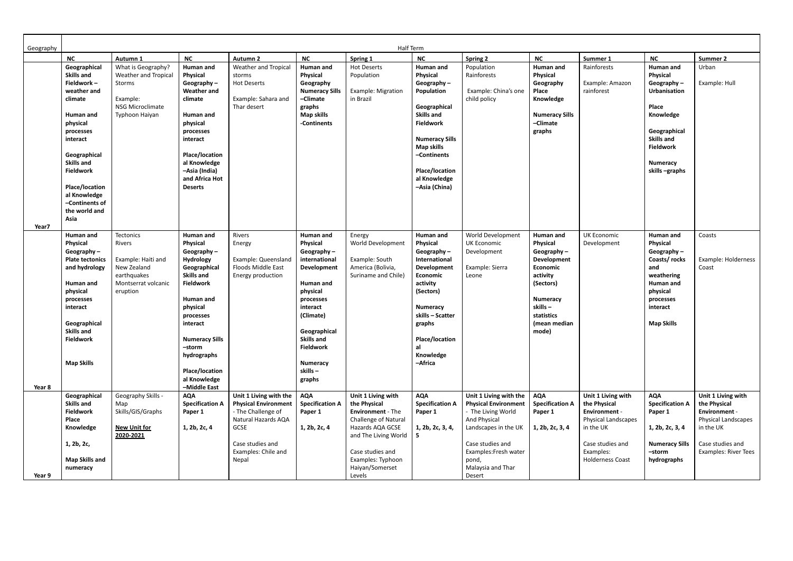| Geography       |                                                                                                                                                                                                                                                                   | Half Term                                                                                                  |                                                                                                                                                                                                                                                                           |                                                                                                                                                                |                                                                                                                                                                                                                                               |                                                                                                                                                                                                                 |                                                                                                                                                                                                                               |                                                                                                                                                                                                          |                                                                                                                                                                 |                                                                                                                                                            |                                                                                                                                                                                         |                                                                                                                                                   |
|-----------------|-------------------------------------------------------------------------------------------------------------------------------------------------------------------------------------------------------------------------------------------------------------------|------------------------------------------------------------------------------------------------------------|---------------------------------------------------------------------------------------------------------------------------------------------------------------------------------------------------------------------------------------------------------------------------|----------------------------------------------------------------------------------------------------------------------------------------------------------------|-----------------------------------------------------------------------------------------------------------------------------------------------------------------------------------------------------------------------------------------------|-----------------------------------------------------------------------------------------------------------------------------------------------------------------------------------------------------------------|-------------------------------------------------------------------------------------------------------------------------------------------------------------------------------------------------------------------------------|----------------------------------------------------------------------------------------------------------------------------------------------------------------------------------------------------------|-----------------------------------------------------------------------------------------------------------------------------------------------------------------|------------------------------------------------------------------------------------------------------------------------------------------------------------|-----------------------------------------------------------------------------------------------------------------------------------------------------------------------------------------|---------------------------------------------------------------------------------------------------------------------------------------------------|
|                 | <b>NC</b>                                                                                                                                                                                                                                                         | Autumn 1                                                                                                   | <b>NC</b>                                                                                                                                                                                                                                                                 | Autumn 2                                                                                                                                                       | <b>NC</b>                                                                                                                                                                                                                                     | Spring 1                                                                                                                                                                                                        | <b>NC</b>                                                                                                                                                                                                                     | Spring 2                                                                                                                                                                                                 | <b>NC</b>                                                                                                                                                       | Summer 1                                                                                                                                                   | NC                                                                                                                                                                                      | Summer 2                                                                                                                                          |
|                 | Geographical<br><b>Skills and</b><br>Fieldwork-<br>weather and<br>climate<br>Human and<br>physical<br>processes<br>interact<br>Geographical<br><b>Skills and</b><br><b>Fieldwork</b><br>Place/location<br>al Knowledge<br>-Continents of<br>the world and<br>Asia | What is Geography?<br>Weather and Tropical<br>Storms<br>Example:<br>NSG Microclimate<br>Typhoon Haiyan     | Human and<br><b>Physical</b><br>Geography $-$<br><b>Weather and</b><br>climate<br>Human and<br>physical<br>processes<br>interact<br>Place/location<br>al Knowledge<br>-Asia (India)<br>and Africa Hot<br><b>Deserts</b>                                                   | <b>Weather and Tropical</b><br>storms<br><b>Hot Deserts</b><br>Example: Sahara and<br>Thar desert                                                              | Human and<br><b>Physical</b><br>Geography<br><b>Numeracy Sills</b><br>-Climate<br>graphs<br><b>Map skills</b><br>-Continents                                                                                                                  | <b>Hot Deserts</b><br>Population<br><b>Example: Migration</b><br>in Brazil                                                                                                                                      | Human and<br>Physical<br>Geography $-$<br>Population<br>Geographical<br><b>Skills and</b><br><b>Fieldwork</b><br><b>Numeracy Sills</b><br><b>Map skills</b><br>-Continents<br>Place/location<br>al Knowledge<br>-Asia (China) | Population<br>Rainforests<br>Example: China's one<br>child policy                                                                                                                                        | Human and<br>Physical<br>Geography<br>Place<br>Knowledge<br><b>Numeracy Sills</b><br>-Climate<br>graphs                                                         | Rainforests<br>Example: Amazon<br>rainforest                                                                                                               | Human and<br><b>Physical</b><br>Geography $-$<br><b>Urbanisation</b><br>Place<br>Knowledge<br>Geographical<br><b>Skills and</b><br><b>Fieldwork</b><br><b>Numeracy</b><br>skills-graphs | Urban<br>Example: Hull                                                                                                                            |
| Year7<br>Year 8 | Human and<br>Physical<br>Geography $-$<br><b>Plate tectonics</b><br>and hydrology<br>Human and<br>physical<br>processes<br>interact<br>Geographical<br><b>Skills and</b><br><b>Fieldwork</b><br><b>Map Skills</b>                                                 | Tectonics<br>Rivers<br>Example: Haiti and<br>New Zealand<br>earthquakes<br>Montserrat volcanic<br>eruption | Human and<br>Physical<br>Geography $-$<br><b>Hydrology</b><br>Geographical<br><b>Skills and</b><br><b>Fieldwork</b><br>Human and<br>physical<br>processes<br>interact<br><b>Numeracy Sills</b><br>-storm<br>hydrographs<br>Place/location<br>al Knowledge<br>-Middle East | Rivers<br>Energy<br>Example: Queensland<br>Floods Middle East<br>Energy production                                                                             | Human and<br><b>Physical</b><br>Geography $-$<br>international<br>Development<br>Human and<br>physical<br>processes<br>interact<br>(Climate)<br>Geographical<br><b>Skills and</b><br><b>Fieldwork</b><br><b>Numeracy</b><br>skills-<br>graphs | Energy<br>World Development<br>Example: South<br>America (Bolivia,<br>Suriname and Chile)                                                                                                                       | Human and<br>Physical<br>Geography $-$<br>International<br><b>Development</b><br>Economic<br>activity<br>(Sectors)<br><b>Numeracy</b><br>skills - Scatter<br>graphs<br>Place/location<br>al<br>Knowledge<br>-Africa           | World Development<br><b>UK Economic</b><br>Development<br>Example: Sierra<br>Leone                                                                                                                       | Human and<br>Physical<br>Geography $-$<br>Development<br>Economic<br>activity<br>(Sectors)<br><b>Numeracy</b><br>skills-<br>statistics<br>(mean median<br>mode) | <b>UK Economic</b><br>Development                                                                                                                          | Human and<br><b>Physical</b><br>Geography $-$<br>Coasts/rocks<br>and<br>weathering<br>Human and<br>physical<br>processes<br>interact<br><b>Map Skills</b>                               | Coasts<br>Example: Holderness<br>Coast                                                                                                            |
| Year 9          | Geographical<br>Skills and<br><b>Fieldwork</b><br>Place<br>Knowledge<br>1, 2b, 2c,<br><b>Map Skills and</b><br>numeracy                                                                                                                                           | Geography Skills -<br>Map<br>Skills/GIS/Graphs<br><b>New Unit for</b><br>2020-2021                         | <b>AQA</b><br><b>Specification A</b><br>Paper 1<br>1, 2b, 2c, 4                                                                                                                                                                                                           | Unit 1 Living with the<br><b>Physical Environment</b><br>- The Challenge of<br>Natural Hazards AQA<br>GCSE<br>Case studies and<br>Examples: Chile and<br>Nepal | <b>AQA</b><br><b>Specification A</b><br>Paper 1<br>1, 2b, 2c, 4                                                                                                                                                                               | Unit 1 Living with<br>the Physical<br><b>Environment</b> - The<br><b>Challenge of Natural</b><br>Hazards AQA GCSE<br>and The Living World<br>Case studies and<br>Examples: Typhoon<br>Haiyan/Somerset<br>Levels | <b>AQA</b><br><b>Specification A</b><br>Paper 1<br>1, 2b, 2c, 3, 4,<br>5                                                                                                                                                      | Unit 1 Living with the<br><b>Physical Environment</b><br>- The Living World<br>And Physical<br>Landscapes in the UK<br>Case studies and<br>Examples: Fresh water<br>pond,<br>Malaysia and Thar<br>Desert | <b>AQA</b><br><b>Specification A</b><br>Paper 1<br>1, 2b, 2c, 3, 4                                                                                              | Unit 1 Living with<br>the Physical<br><b>Environment -</b><br>Physical Landscapes<br>in the UK<br>Case studies and<br>Examples:<br><b>Holderness Coast</b> | <b>AQA</b><br><b>Specification A</b><br>Paper 1<br>1, 2b, 2c, 3, 4<br><b>Numeracy Sills</b><br>-storm<br>hydrographs                                                                    | Unit 1 Living with<br>the Physical<br><b>Environment -</b><br>Physical Landscapes<br>in the UK<br>Case studies and<br><b>Examples: River Tees</b> |